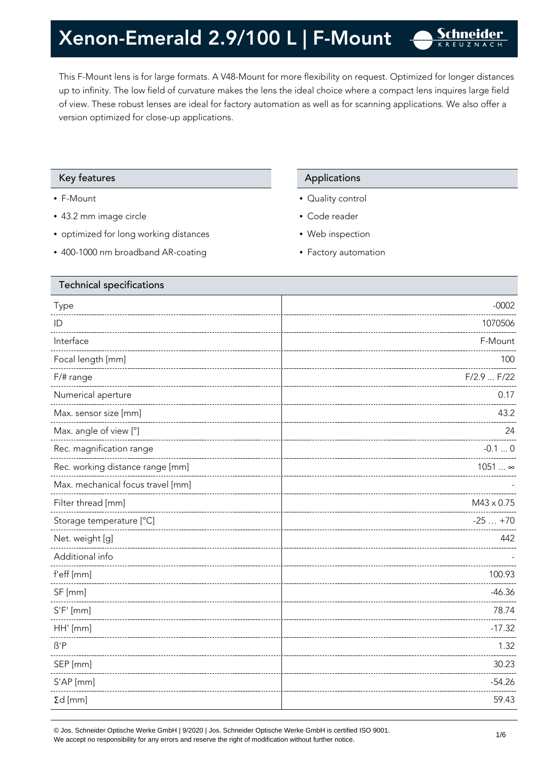This F-Mount lens is for large formats. A V48-Mount for more flexibility on request. Optimized for longer distances up to infinity. The low field of curvature makes the lens the ideal choice where a compact lens inquires large field of view. These robust lenses are ideal for factory automation as well as for scanning applications. We also offer a version optimized for close-up applications.

### Key features **Applications** Applications

- F-Mount
- 43.2 mm image circle
- optimized for long working distances
- 400-1000 nm broadband AR-coating

- Quality control
- Code reader
- Web inspection
- Factory automation

| <b>Technical specifications</b>   |                   |
|-----------------------------------|-------------------|
| Type                              | $-0002$           |
| ID                                | 1070506           |
| Interface                         | F-Mount           |
| Focal length [mm]                 | 100               |
| F/# range                         | F/2.9  F/22       |
| Numerical aperture                | 0.17              |
| Max. sensor size [mm]             | 43.2              |
| Max. angle of view [°]            | 24                |
| Rec. magnification range          | $-0.10$           |
| Rec. working distance range [mm]  | $1051$ ∞          |
| Max. mechanical focus travel [mm] |                   |
| Filter thread [mm]                | $M43 \times 0.75$ |
| Storage temperature [°C]          | $-25+70$          |
| Net. weight [g]                   | 442               |
| Additional info                   |                   |
| f'eff [mm]                        | 100.93            |
| SF [mm]                           | $-46.36$          |
| $S'F'$ [mm]                       | 78.74             |
| HH' [mm]                          | $-17.32$          |
| $\beta$ 'P                        | 1.32              |
| SEP [mm]                          | 30.23             |
| S'AP [mm]                         | $-54.26$          |
| $\Sigma d$ [mm]                   | 59.43             |
|                                   |                   |

© Jos. Schneider Optische Werke GmbH | 9/2020 | Jos. Schneider Optische Werke GmbH is certified ISO 9001.  $\bullet$  Jos. Scrimender Optiscrie werke Grillon | 9/2020 | Jos. Scrimender Optiscrie werke Grillon is certified iSO 9001.<br>We accept no responsibility for any errors and reserve the right of modification without further notice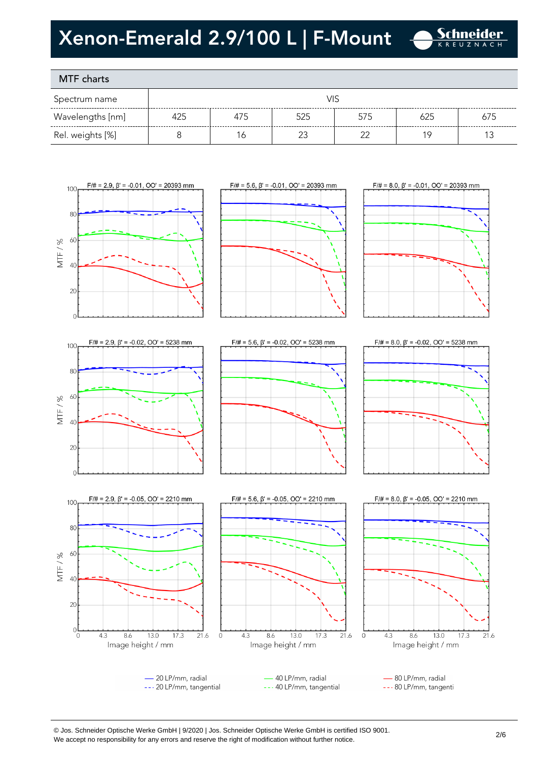

# MTF charts

| Spectrum name    |     |     |     |     |     |     |
|------------------|-----|-----|-----|-----|-----|-----|
| Wavelengths [nm] | 425 | 475 | 525 | 575 | 625 | 675 |
| Rel. weights [%] |     | 16  |     |     |     |     |













--- 80 LP/mm, tangenti



### --- 20 LP/mm, tangential

--- 40 LP/mm, tangential

© Jos. Schneider Optische Werke GmbH | 9/2020 | Jos. Schneider Optische Werke GmbH is certified ISO 9001. We accept no responsibility for any errors and reserve the right of modification without further notice.<br>We accept no responsibility for any errors and reserve the right of modification without further notice.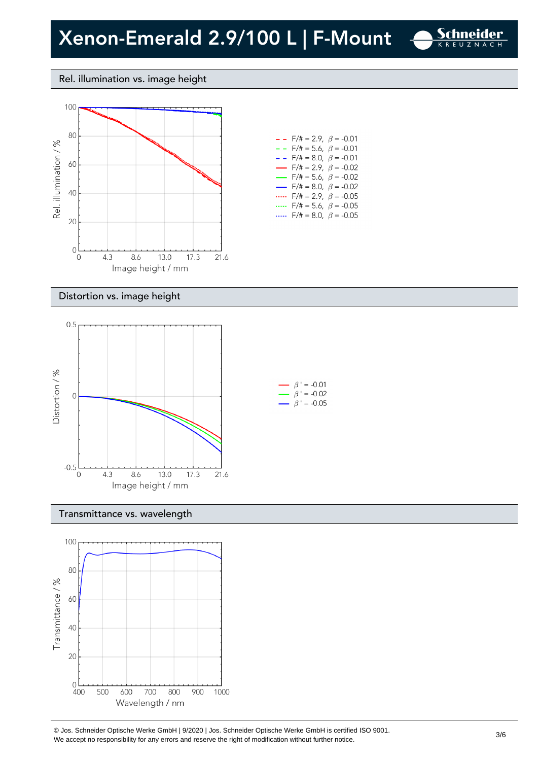

### Rel. illumination vs. image height



| - - - | $F/\ddot{\pi} = 2.9$ , $\beta = -0.01$   |  |
|-------|------------------------------------------|--|
|       | $- -$ F/# = 5.6, $\beta$ = -0.01         |  |
| - - - | $F/\ddot{=} = 8.0, \ \beta = -0.01$      |  |
|       | $\rightarrow$ F/# = 2.9, $\beta$ = -0.02 |  |
|       | $\rightarrow$ F/# = 5.6, $\beta$ = -0.02 |  |
|       | $\rightarrow$ F/# = 8.0, $\beta$ = -0.02 |  |
|       | F/# = 2.9, $\beta$ = -0.05               |  |
|       | $F/\ddot{=} = 5.6$ , $\beta = -0.05$     |  |
|       | $F/\ddot{=} = 8.0, \ \beta = -0.05$      |  |

#### Distortion vs. image height



#### Transmittance vs. wavelength



© Jos. Schneider Optische Werke GmbH | 9/2020 | Jos. Schneider Optische Werke GmbH is certified ISO 9001.  $\degree$  Jos. Scrifielder Optiscrie werke Grillom | 9/2020 | Jos. Scrifielder Optiscrie werke Grillom is certified iSO 9001.<br>We accept no responsibility for any errors and reserve the right of modification without further noti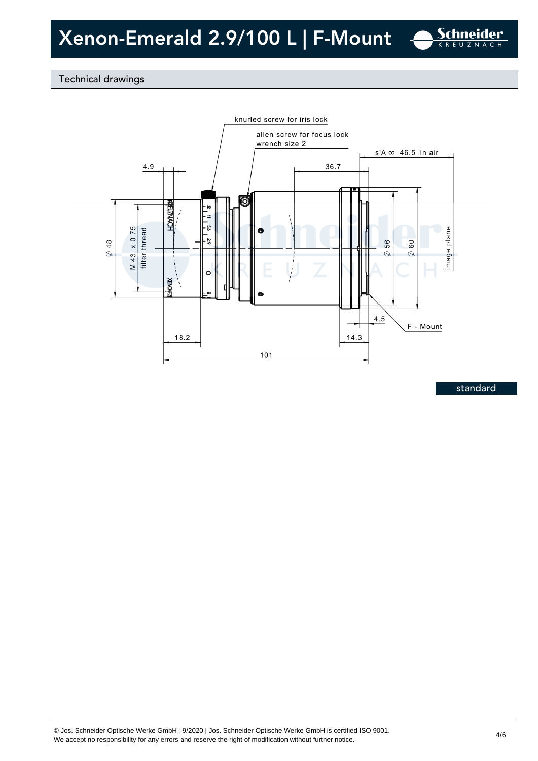

## Technical drawings



standard